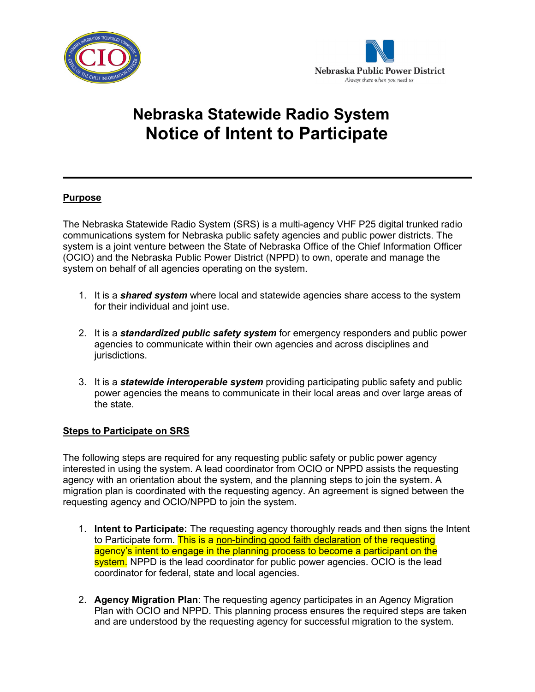



# **Nebraska Statewide Radio System Notice of Intent to Participate**

## **Purpose**

The Nebraska Statewide Radio System (SRS) is a multi-agency VHF P25 digital trunked radio communications system for Nebraska public safety agencies and public power districts. The system is a joint venture between the State of Nebraska Office of the Chief Information Officer (OCIO) and the Nebraska Public Power District (NPPD) to own, operate and manage the system on behalf of all agencies operating on the system.

- 1. It is a *shared system* where local and statewide agencies share access to the system for their individual and joint use.
- 2. It is a *standardized public safety system* for emergency responders and public power agencies to communicate within their own agencies and across disciplines and jurisdictions.
- 3. It is a *statewide interoperable system* providing participating public safety and public power agencies the means to communicate in their local areas and over large areas of the state.

### **Steps to Participate on SRS**

The following steps are required for any requesting public safety or public power agency interested in using the system. A lead coordinator from OCIO or NPPD assists the requesting agency with an orientation about the system, and the planning steps to join the system. A migration plan is coordinated with the requesting agency. An agreement is signed between the requesting agency and OCIO/NPPD to join the system.

- 1. **Intent to Participate:** The requesting agency thoroughly reads and then signs the Intent to Participate form. This is a non-binding good faith declaration of the requesting agency's intent to engage in the planning process to become a participant on the system. NPPD is the lead coordinator for public power agencies. OCIO is the lead coordinator for federal, state and local agencies.
- 2. **Agency Migration Plan**: The requesting agency participates in an Agency Migration Plan with OCIO and NPPD. This planning process ensures the required steps are taken and are understood by the requesting agency for successful migration to the system.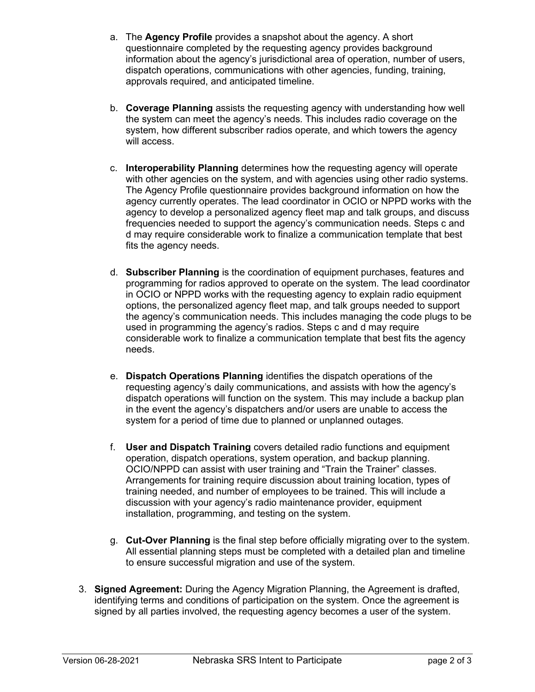- a. The **Agency Profile** provides a snapshot about the agency. A short questionnaire completed by the requesting agency provides background information about the agency's jurisdictional area of operation, number of users, dispatch operations, communications with other agencies, funding, training, approvals required, and anticipated timeline.
- b. **Coverage Planning** assists the requesting agency with understanding how well the system can meet the agency's needs. This includes radio coverage on the system, how different subscriber radios operate, and which towers the agency will access.
- c. **Interoperability Planning** determines how the requesting agency will operate with other agencies on the system, and with agencies using other radio systems. The Agency Profile questionnaire provides background information on how the agency currently operates. The lead coordinator in OCIO or NPPD works with the agency to develop a personalized agency fleet map and talk groups, and discuss frequencies needed to support the agency's communication needs. Steps c and d may require considerable work to finalize a communication template that best fits the agency needs.
- d. **Subscriber Planning** is the coordination of equipment purchases, features and programming for radios approved to operate on the system. The lead coordinator in OCIO or NPPD works with the requesting agency to explain radio equipment options, the personalized agency fleet map, and talk groups needed to support the agency's communication needs. This includes managing the code plugs to be used in programming the agency's radios. Steps c and d may require considerable work to finalize a communication template that best fits the agency needs.
- e. **Dispatch Operations Planning** identifies the dispatch operations of the requesting agency's daily communications, and assists with how the agency's dispatch operations will function on the system. This may include a backup plan in the event the agency's dispatchers and/or users are unable to access the system for a period of time due to planned or unplanned outages.
- f. **User and Dispatch Training** covers detailed radio functions and equipment operation, dispatch operations, system operation, and backup planning. OCIO/NPPD can assist with user training and "Train the Trainer" classes. Arrangements for training require discussion about training location, types of training needed, and number of employees to be trained. This will include a discussion with your agency's radio maintenance provider, equipment installation, programming, and testing on the system.
- g. **Cut-Over Planning** is the final step before officially migrating over to the system. All essential planning steps must be completed with a detailed plan and timeline to ensure successful migration and use of the system.
- 3. **Signed Agreement:** During the Agency Migration Planning, the Agreement is drafted, identifying terms and conditions of participation on the system. Once the agreement is signed by all parties involved, the requesting agency becomes a user of the system.